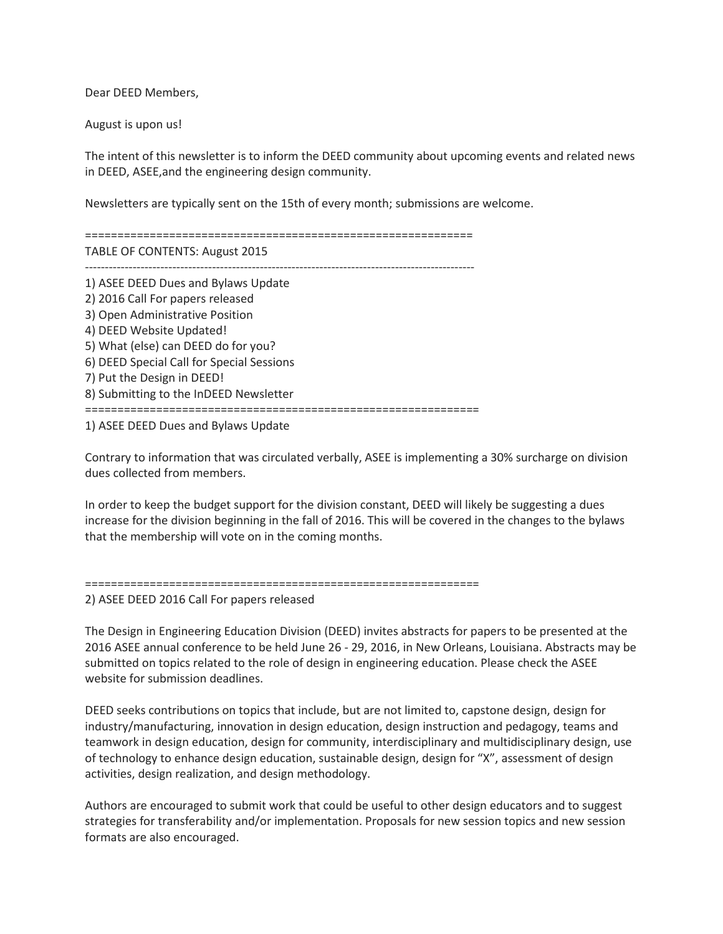Dear DEED Members,

August is upon us!

The intent of this newsletter is to inform the DEED community about upcoming events and related news in DEED, ASEE,and the engineering design community.

Newsletters are typically sent on the 15th of every month; submissions are welcome.

============================================================ TABLE OF CONTENTS: August 2015 -------------------------------------------------------------------------------------------------- 1) ASEE DEED Dues and Bylaws Update 2) 2016 Call For papers released 3) Open Administrative Position 4) DEED Website Updated! 5) What (else) can DEED do for you? 6) DEED Special Call for Special Sessions 7) Put the Design in DEED! 8) Submitting to the InDEED Newsletter =============================================================

1) ASEE DEED Dues and Bylaws Update

Contrary to information that was circulated verbally, ASEE is implementing a 30% surcharge on division dues collected from members.

In order to keep the budget support for the division constant, DEED will likely be suggesting a dues increase for the division beginning in the fall of 2016. This will be covered in the changes to the bylaws that the membership will vote on in the coming months.

```
=============================================================
```
2) ASEE DEED 2016 Call For papers released

The Design in Engineering Education Division (DEED) invites abstracts for papers to be presented at the 2016 ASEE annual conference to be held June 26 - 29, 2016, in New Orleans, Louisiana. Abstracts may be submitted on topics related to the role of design in engineering education. Please check the ASEE website for submission deadlines.

DEED seeks contributions on topics that include, but are not limited to, capstone design, design for industry/manufacturing, innovation in design education, design instruction and pedagogy, teams and teamwork in design education, design for community, interdisciplinary and multidisciplinary design, use of technology to enhance design education, sustainable design, design for "X", assessment of design activities, design realization, and design methodology.

Authors are encouraged to submit work that could be useful to other design educators and to suggest strategies for transferability and/or implementation. Proposals for new session topics and new session formats are also encouraged.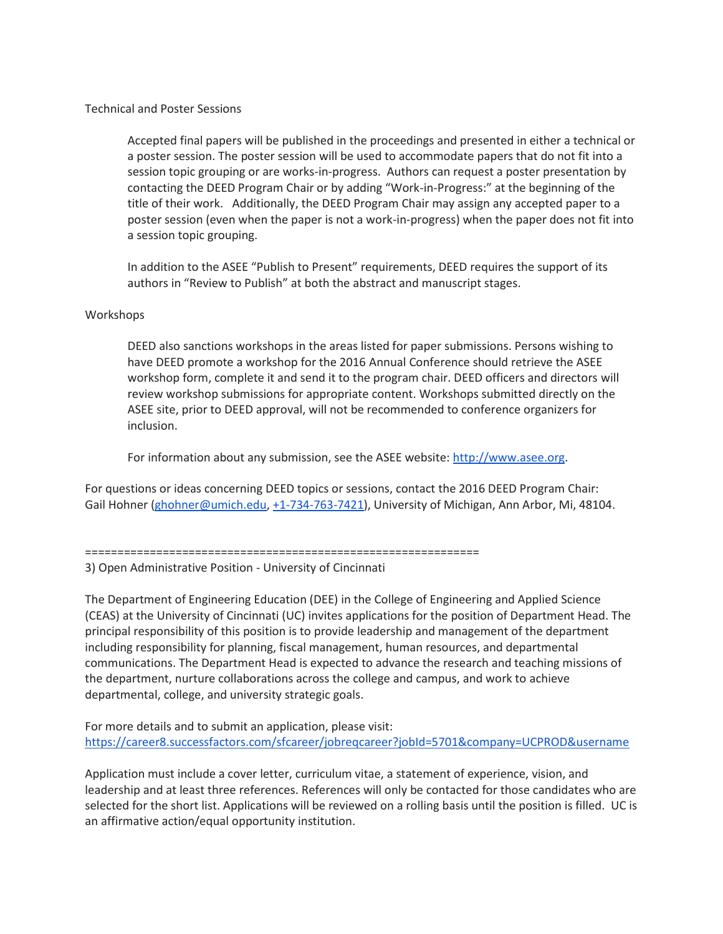Technical and Poster Sessions

Accepted final papers will be published in the proceedings and presented in either a technical or a poster session. The poster session will be used to accommodate papers that do not fit into a session topic grouping or are works-in-progress. Authors can request a poster presentation by contacting the DEED Program Chair or by adding "Work-in-Progress:" at the beginning of the title of their work. Additionally, the DEED Program Chair may assign any accepted paper to a poster session (even when the paper is not a work-in-progress) when the paper does not fit into a session topic grouping.

In addition to the ASEE "Publish to Present" requirements, DEED requires the support of its authors in "Review to Publish" at both the abstract and manuscript stages.

## Workshops

DEED also sanctions workshops in the areas listed for paper submissions. Persons wishing to have DEED promote a workshop for the 2016 Annual Conference should retrieve the ASEE workshop form, complete it and send it to the program chair. DEED officers and directors will review workshop submissions for appropriate content. Workshops submitted directly on the ASEE site, prior to DEED approval, will not be recommended to conference organizers for inclusion.

For information about any submission, see the ASEE website: [http://www.asee.org.](http://www.asee.org/)

For questions or ideas concerning DEED topics or sessions, contact the 2016 DEED Program Chair: Gail Hohner [\(ghohner@umich.edu,](mailto:ghohner@umich.edu) [+1-734-763-7421\)](tel:%2B1-734-763-7421), University of Michigan, Ann Arbor, Mi, 48104.

=============================================================

3) Open Administrative Position - University of Cincinnati

The Department of Engineering Education (DEE) in the College of Engineering and Applied Science (CEAS) at the University of Cincinnati (UC) invites applications for the position of Department Head. The principal responsibility of this position is to provide leadership and management of the department including responsibility for planning, fiscal management, human resources, and departmental communications. The Department Head is expected to advance the research and teaching missions of the department, nurture collaborations across the college and campus, and work to achieve departmental, college, and university strategic goals.

For more details and to submit an application, please visit: <https://career8.successfactors.com/sfcareer/jobreqcareer?jobId=5701&company=UCPROD&username>

Application must include a cover letter, curriculum vitae, a statement of experience, vision, and leadership and at least three references. References will only be contacted for those candidates who are selected for the short list. Applications will be reviewed on a rolling basis until the position is filled. UC is an affirmative action/equal opportunity institution.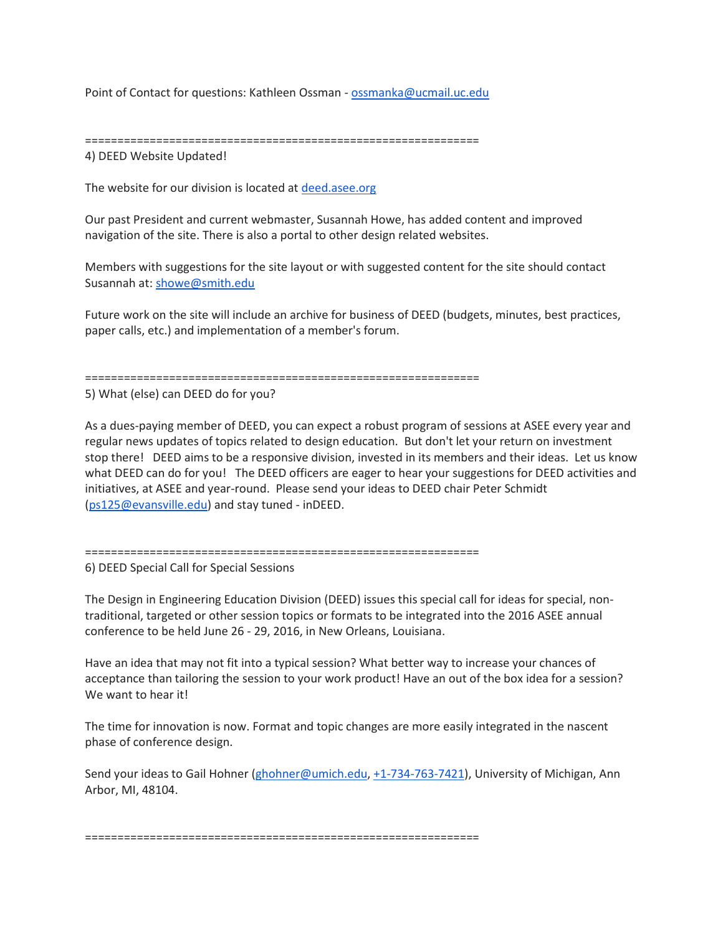Point of Contact for questions: Kathleen Ossman - [ossmanka@ucmail.uc.edu](mailto:ossmanka@ucmail.uc.edu)

============================================================= 4) DEED Website Updated!

The website for our division is located at [deed.asee.org](http://deed.asee.org/)

Our past President and current webmaster, Susannah Howe, has added content and improved navigation of the site. There is also a portal to other design related websites.

Members with suggestions for the site layout or with suggested content for the site should contact Susannah at: [showe@smith.edu](mailto:showe@smith.edu)

Future work on the site will include an archive for business of DEED (budgets, minutes, best practices, paper calls, etc.) and implementation of a member's forum.

=============================================================

5) What (else) can DEED do for you?

As a dues-paying member of DEED, you can expect a robust program of sessions at ASEE every year and regular news updates of topics related to design education. But don't let your return on investment stop there! DEED aims to be a responsive division, invested in its members and their ideas. Let us know what DEED can do for you! The DEED officers are eager to hear your suggestions for DEED activities and initiatives, at ASEE and year-round. Please send your ideas to DEED chair Peter Schmidt [\(ps125@evansville.edu\)](mailto:ps125@evansville.edu) and stay tuned - inDEED.

```
=============================================================
```
6) DEED Special Call for Special Sessions

The Design in Engineering Education Division (DEED) issues this special call for ideas for special, nontraditional, targeted or other session topics or formats to be integrated into the 2016 ASEE annual conference to be held June 26 - 29, 2016, in New Orleans, Louisiana.

Have an idea that may not fit into a typical session? What better way to increase your chances of acceptance than tailoring the session to your work product! Have an out of the box idea for a session? We want to hear it!

The time for innovation is now. Format and topic changes are more easily integrated in the nascent phase of conference design.

Send your ideas to Gail Hohner [\(ghohner@umich.edu,](mailto:ghohner@umich.edu) [+1-734-763-7421\)](tel:%2B1-734-763-7421), University of Michigan, Ann Arbor, MI, 48104.

=============================================================